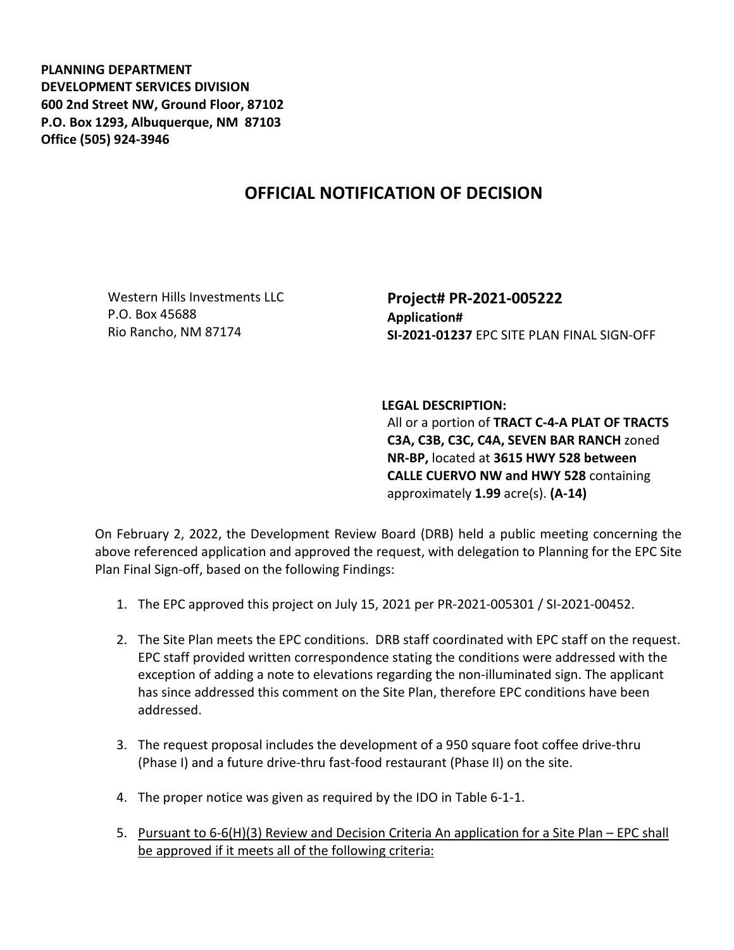**PLANNING DEPARTMENT DEVELOPMENT SERVICES DIVISION 600 2nd Street NW, Ground Floor, 87102 P.O. Box 1293, Albuquerque, NM 87103 Office (505) 924-3946** 

## **OFFICIAL NOTIFICATION OF DECISION**

Western Hills Investments LLC P.O. Box 45688 Rio Rancho, NM 87174

**Project# PR-2021-005222 Application# SI-2021-01237** EPC SITE PLAN FINAL SIGN-OFF

**LEGAL DESCRIPTION:**

All or a portion of **TRACT C-4-A PLAT OF TRACTS C3A, C3B, C3C, C4A, SEVEN BAR RANCH** zoned **NR-BP,** located at **3615 HWY 528 between CALLE CUERVO NW and HWY 528** containing approximately **1.99** acre(s). **(A-14)**

On February 2, 2022, the Development Review Board (DRB) held a public meeting concerning the above referenced application and approved the request, with delegation to Planning for the EPC Site Plan Final Sign-off, based on the following Findings:

- 1. The EPC approved this project on July 15, 2021 per PR-2021-005301 / SI-2021-00452.
- 2. The Site Plan meets the EPC conditions. DRB staff coordinated with EPC staff on the request. EPC staff provided written correspondence stating the conditions were addressed with the exception of adding a note to elevations regarding the non-illuminated sign. The applicant has since addressed this comment on the Site Plan, therefore EPC conditions have been addressed.
- 3. The request proposal includes the development of a 950 square foot coffee drive-thru (Phase I) and a future drive-thru fast-food restaurant (Phase II) on the site.
- 4. The proper notice was given as required by the IDO in Table 6-1-1.
- 5. Pursuant to 6-6(H)(3) Review and Decision Criteria An application for a Site Plan EPC shall be approved if it meets all of the following criteria: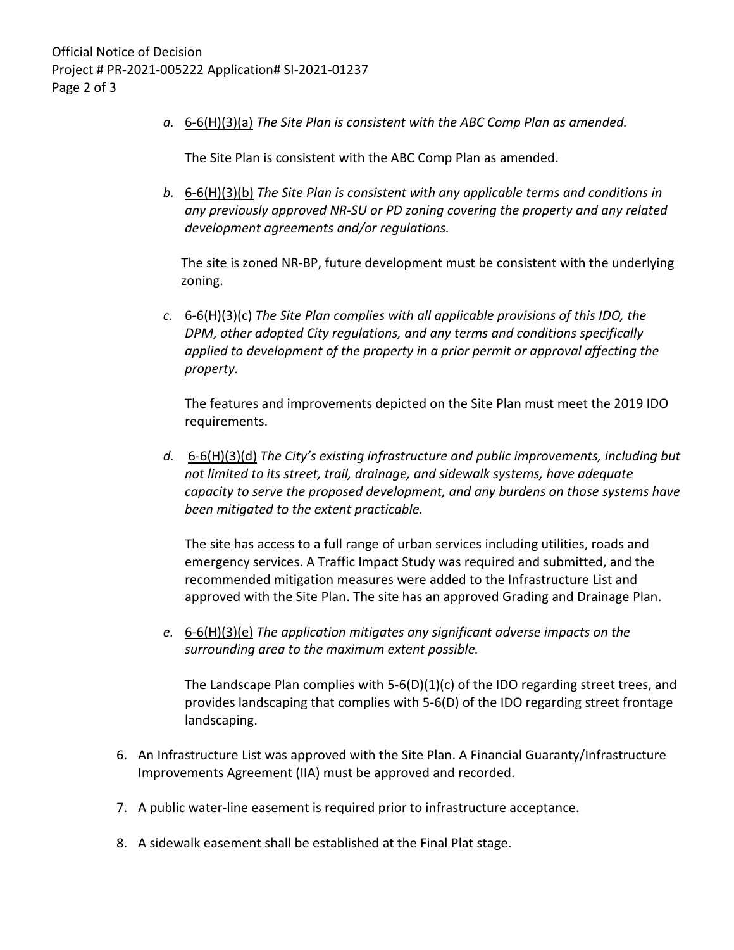*a.* 6-6(H)(3)(a) *The Site Plan is consistent with the ABC Comp Plan as amended.*

The Site Plan is consistent with the ABC Comp Plan as amended.

*b.* 6-6(H)(3)(b) *The Site Plan is consistent with any applicable terms and conditions in any previously approved NR-SU or PD zoning covering the property and any related development agreements and/or regulations.* 

The site is zoned NR-BP, future development must be consistent with the underlying zoning.

*c.* 6-6(H)(3)(c) *The Site Plan complies with all applicable provisions of this IDO, the DPM, other adopted City regulations, and any terms and conditions specifically applied to development of the property in a prior permit or approval affecting the property.* 

The features and improvements depicted on the Site Plan must meet the 2019 IDO requirements.

*d.* 6-6(H)(3)(d) *The City's existing infrastructure and public improvements, including but not limited to its street, trail, drainage, and sidewalk systems, have adequate capacity to serve the proposed development, and any burdens on those systems have been mitigated to the extent practicable.* 

The site has access to a full range of urban services including utilities, roads and emergency services. A Traffic Impact Study was required and submitted, and the recommended mitigation measures were added to the Infrastructure List and approved with the Site Plan. The site has an approved Grading and Drainage Plan.

*e.* 6-6(H)(3)(e) *The application mitigates any significant adverse impacts on the surrounding area to the maximum extent possible.* 

The Landscape Plan complies with  $5-6(D)(1)(c)$  of the IDO regarding street trees, and provides landscaping that complies with 5-6(D) of the IDO regarding street frontage landscaping.

- 6. An Infrastructure List was approved with the Site Plan. A Financial Guaranty/Infrastructure Improvements Agreement (IIA) must be approved and recorded.
- 7. A public water-line easement is required prior to infrastructure acceptance.
- 8. A sidewalk easement shall be established at the Final Plat stage.